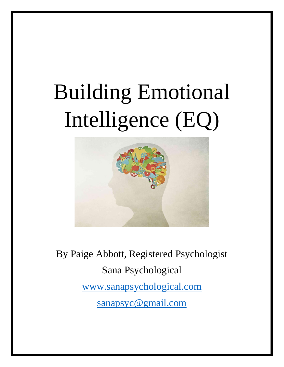# Building Emotional Intelligence (EQ)



By Paige Abbott, Registered Psychologist Sana Psychological [www.sanapsychological.com](http://www.sanapsychological.com/) [sanapsyc@gmail.com](mailto:sanapsyc@gmail.com)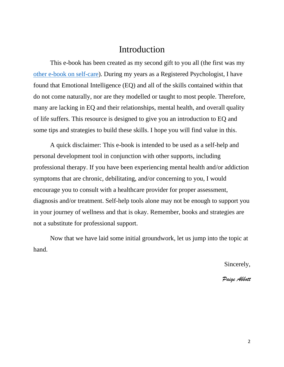## Introduction

This e-book has been created as my second gift to you all (the first was my [other e-book on self-care\)](https://sanapsychological.com/resources/). During my years as a Registered Psychologist, I have found that Emotional Intelligence (EQ) and all of the skills contained within that do not come naturally, nor are they modelled or taught to most people. Therefore, many are lacking in EQ and their relationships, mental health, and overall quality of life suffers. This resource is designed to give you an introduction to EQ and some tips and strategies to build these skills. I hope you will find value in this.

A quick disclaimer: This e-book is intended to be used as a self-help and personal development tool in conjunction with other supports, including professional therapy. If you have been experiencing mental health and/or addiction symptoms that are chronic, debilitating, and/or concerning to you, I would encourage you to consult with a healthcare provider for proper assessment, diagnosis and/or treatment. Self-help tools alone may not be enough to support you in your journey of wellness and that is okay. Remember, books and strategies are not a substitute for professional support.

Now that we have laid some initial groundwork, let us jump into the topic at hand.

Sincerely,

*Paige Abbott*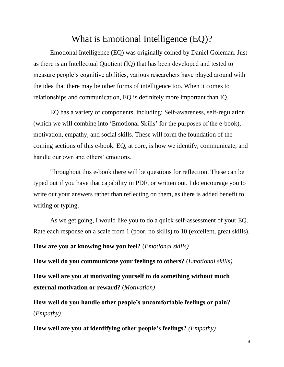# What is Emotional Intelligence (EQ)?

Emotional Intelligence (EQ) was originally coined by Daniel Goleman. Just as there is an Intellectual Quotient (IQ) that has been developed and tested to measure people's cognitive abilities, various researchers have played around with the idea that there may be other forms of intelligence too. When it comes to relationships and communication, EQ is definitely more important than IQ.

EQ has a variety of components, including: Self-awareness, self-regulation (which we will combine into 'Emotional Skills' for the purposes of the e-book), motivation, empathy, and social skills. These will form the foundation of the coming sections of this e-book. EQ, at core, is how we identify, communicate, and handle our own and others' emotions.

Throughout this e-book there will be questions for reflection. These can be typed out if you have that capability in PDF, or written out. I do encourage you to write out your answers rather than reflecting on them, as there is added benefit to writing or typing.

As we get going, I would like you to do a quick self-assessment of your EQ. Rate each response on a scale from 1 (poor, no skills) to 10 (excellent, great skills).

**How are you at knowing how you feel?** (*Emotional skills)*

**How well do you communicate your feelings to others?** (*Emotional skills)* **How well are you at motivating yourself to do something without much external motivation or reward?** (*Motivation)*

**How well do you handle other people's uncomfortable feelings or pain?**  (*Empathy)*

**How well are you at identifying other people's feelings?** *(Empathy)*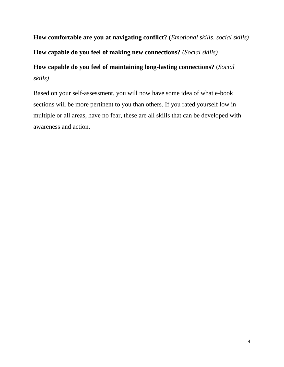**How comfortable are you at navigating conflict?** (*Emotional skills, social skills)*

**How capable do you feel of making new connections?** (*Social skills)*

# **How capable do you feel of maintaining long-lasting connections?** (*Social skills)*

Based on your self-assessment, you will now have some idea of what e-book sections will be more pertinent to you than others. If you rated yourself low in multiple or all areas, have no fear, these are all skills that can be developed with awareness and action.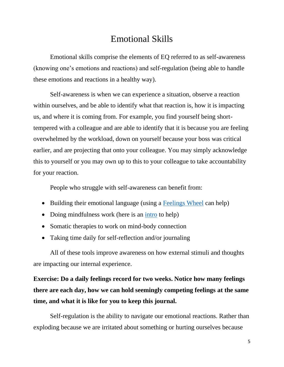# Emotional Skills

Emotional skills comprise the elements of EQ referred to as self-awareness (knowing one's emotions and reactions) and self-regulation (being able to handle these emotions and reactions in a healthy way).

Self-awareness is when we can experience a situation, observe a reaction within ourselves, and be able to identify what that reaction is, how it is impacting us, and where it is coming from. For example, you find yourself being shorttempered with a colleague and are able to identify that it is because you are feeling overwhelmed by the workload, down on yourself because your boss was critical earlier, and are projecting that onto your colleague. You may simply acknowledge this to yourself or you may own up to this to your colleague to take accountability for your reaction.

People who struggle with self-awareness can benefit from:

- Building their emotional language (using a [Feelings Wheel](https://feelingswheel.com/) can help)
- Doing mindfulness work (here is an [intro](https://www.mindful.org/meditation/mindfulness-getting-started/) to help)
- Somatic therapies to work on mind-body connection
- Taking time daily for self-reflection and/or journaling

All of these tools improve awareness on how external stimuli and thoughts are impacting our internal experience.

# **Exercise: Do a daily feelings record for two weeks. Notice how many feelings there are each day, how we can hold seemingly competing feelings at the same time, and what it is like for you to keep this journal.**

Self-regulation is the ability to navigate our emotional reactions. Rather than exploding because we are irritated about something or hurting ourselves because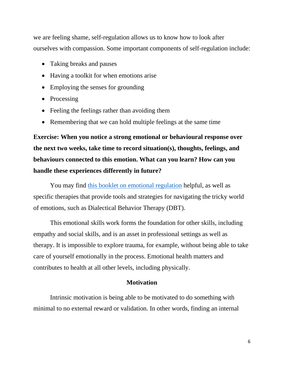we are feeling shame, self-regulation allows us to know how to look after ourselves with compassion. Some important components of self-regulation include:

- Taking breaks and pauses
- Having a toolkit for when emotions arise
- Employing the senses for grounding
- Processing
- Feeling the feelings rather than avoiding them
- Remembering that we can hold multiple feelings at the same time

**Exercise: When you notice a strong emotional or behavioural response over the next two weeks, take time to record situation(s), thoughts, feelings, and behaviours connected to this emotion. What can you learn? How can you handle these experiences differently in future?**

You may find [this booklet on emotional regulation](https://www.moodcafe.co.uk/media/15343/ER_handout_Final_16_June_2016%20pdf.pdf) helpful, as well as specific therapies that provide tools and strategies for navigating the tricky world of emotions, such as Dialectical Behavior Therapy (DBT).

This emotional skills work forms the foundation for other skills, including empathy and social skills, and is an asset in professional settings as well as therapy. It is impossible to explore trauma, for example, without being able to take care of yourself emotionally in the process. Emotional health matters and contributes to health at all other levels, including physically.

#### **Motivation**

Intrinsic motivation is being able to be motivated to do something with minimal to no external reward or validation. In other words, finding an internal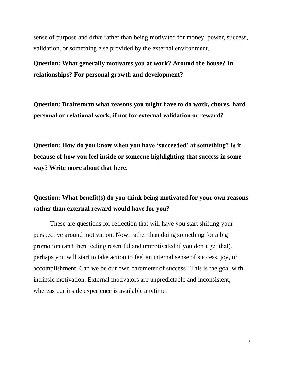sense of purpose and drive rather than being motivated for money, power, success, validation, or something else provided by the external environment.

**Question: What generally motivates you at work? Around the house? In relationships? For personal growth and development?**

**Question: Brainstorm what reasons you might have to do work, chores, hard personal or relational work, if not for external validation or reward?** 

**Question: How do you know when you have 'succeeded' at something? Is it because of how you feel inside or someone highlighting that success in some way? Write more about that here.**

## **Question: What benefit(s) do you think being motivated for your own reasons rather than external reward would have for you?**

These are questions for reflection that will have you start shifting your perspective around motivation. Now, rather than doing something for a big promotion (and then feeling resentful and unmotivated if you don't get that), perhaps you will start to take action to feel an internal sense of success, joy, or accomplishment. Can we be our own barometer of success? This is the goal with intrinsic motivation. External motivators are unpredictable and inconsistent, whereas our inside experience is available anytime.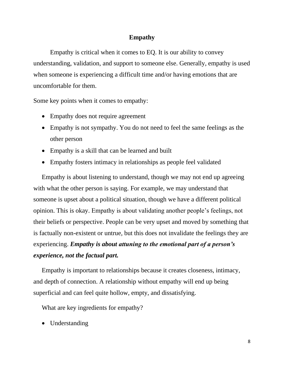#### **Empathy**

Empathy is critical when it comes to EQ. It is our ability to convey understanding, validation, and support to someone else. Generally, empathy is used when someone is experiencing a difficult time and/or having emotions that are uncomfortable for them.

Some key points when it comes to empathy:

- Empathy does not require agreement
- Empathy is not sympathy. You do not need to feel the same feelings as the other person
- Empathy is a skill that can be learned and built
- Empathy fosters intimacy in relationships as people feel validated

Empathy is about listening to understand, though we may not end up agreeing with what the other person is saying. For example, we may understand that someone is upset about a political situation, though we have a different political opinion. This is okay. Empathy is about validating another people's feelings, not their beliefs or perspective. People can be very upset and moved by something that is factually non-existent or untrue, but this does not invalidate the feelings they are experiencing. *Empathy is about attuning to the emotional part of a person's experience, not the factual part.*

Empathy is important to relationships because it creates closeness, intimacy, and depth of connection. A relationship without empathy will end up being superficial and can feel quite hollow, empty, and dissatisfying.

What are key ingredients for empathy?

• Understanding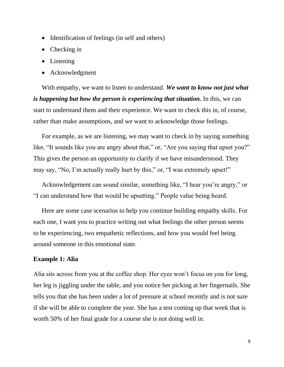- Identification of feelings (in self and others)
- Checking in
- Listening
- Acknowledgment

With empathy, we want to listen to understand. *We want to know not just what is happening but how the person is experiencing that situation.* In this, we can start to understand them and their experience. We want to check this in, of course, rather than make assumptions, and we want to acknowledge those feelings.

For example, as we are listening, we may want to check in by saying something like, "It sounds like you are angry about that," or, "Are you saying that upset you?" This gives the person an opportunity to clarify if we have misunderstood. They may say, "No, I'm actually really hurt by this," or, "I was extremely upset!"

Acknowledgement can sound similar, something like, "I hear you're angry," or "I can understand how that would be upsetting." People value being heard.

Here are some case scenarios to help you continue building empathy skills. For each one, I want you to practice writing out what feelings the other person seems to be experiencing, two empathetic reflections, and how you would feel being around someone in this emotional state.

#### **Example 1: Alia**

Alia sits across from you at the coffee shop. Her eyes won't focus on you for long, her leg is jiggling under the table, and you notice her picking at her fingernails. She tells you that she has been under a lot of pressure at school recently and is not sure if she will be able to complete the year. She has a test coming up that week that is worth 50% of her final grade for a course she is not doing well in.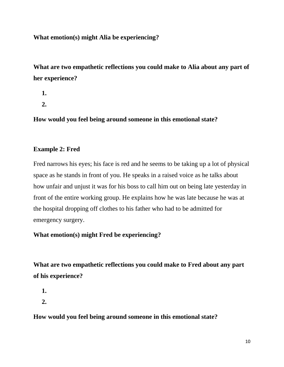#### **What emotion(s) might Alia be experiencing?**

**What are two empathetic reflections you could make to Alia about any part of her experience?**

- **1.**
- **2.**

**How would you feel being around someone in this emotional state?**

#### **Example 2: Fred**

Fred narrows his eyes; his face is red and he seems to be taking up a lot of physical space as he stands in front of you. He speaks in a raised voice as he talks about how unfair and unjust it was for his boss to call him out on being late yesterday in front of the entire working group. He explains how he was late because he was at the hospital dropping off clothes to his father who had to be admitted for emergency surgery.

#### **What emotion(s) might Fred be experiencing?**

**What are two empathetic reflections you could make to Fred about any part of his experience?**

**1.**

**2.**

**How would you feel being around someone in this emotional state?**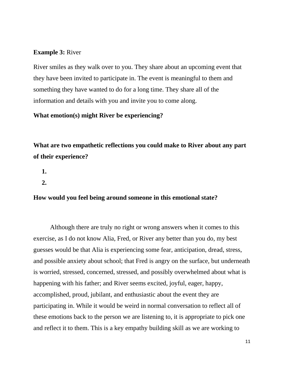#### **Example 3:** River

River smiles as they walk over to you. They share about an upcoming event that they have been invited to participate in. The event is meaningful to them and something they have wanted to do for a long time. They share all of the information and details with you and invite you to come along.

#### **What emotion(s) might River be experiencing?**

**What are two empathetic reflections you could make to River about any part of their experience?**

- **1.**
- **2.**

#### **How would you feel being around someone in this emotional state?**

Although there are truly no right or wrong answers when it comes to this exercise, as I do not know Alia, Fred, or River any better than you do, my best guesses would be that Alia is experiencing some fear, anticipation, dread, stress, and possible anxiety about school; that Fred is angry on the surface, but underneath is worried, stressed, concerned, stressed, and possibly overwhelmed about what is happening with his father; and River seems excited, joyful, eager, happy, accomplished, proud, jubilant, and enthusiastic about the event they are participating in. While it would be weird in normal conversation to reflect all of these emotions back to the person we are listening to, it is appropriate to pick one and reflect it to them. This is a key empathy building skill as we are working to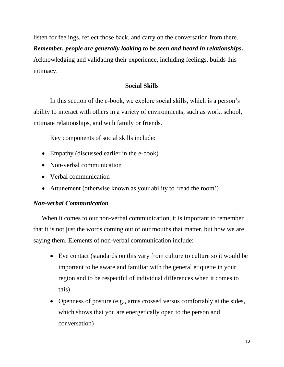listen for feelings, reflect those back, and carry on the conversation from there.

#### *Remember, people are generally looking to be seen and heard in relationships.*

Acknowledging and validating their experience, including feelings, builds this intimacy.

#### **Social Skills**

In this section of the e-book, we explore social skills, which is a person's ability to interact with others in a variety of environments, such as work, school, intimate relationships, and with family or friends.

Key components of social skills include:

- Empathy (discussed earlier in the e-book)
- Non-verbal communication
- Verbal communication
- Attunement (otherwise known as your ability to 'read the room')

### *Non-verbal Communication*

When it comes to our non-verbal communication, it is important to remember that it is not just the words coming out of our mouths that matter, but how we are saying them. Elements of non-verbal communication include:

- Eye contact (standards on this vary from culture to culture so it would be important to be aware and familiar with the general etiquette in your region and to be respectful of individual differences when it comes to this)
- Openness of posture (e.g., arms crossed versus comfortably at the sides, which shows that you are energetically open to the person and conversation)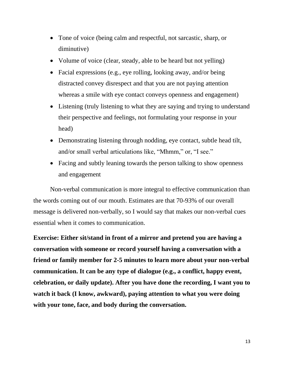- Tone of voice (being calm and respectful, not sarcastic, sharp, or diminutive)
- Volume of voice (clear, steady, able to be heard but not yelling)
- Facial expressions (e.g., eye rolling, looking away, and/or being distracted convey disrespect and that you are not paying attention whereas a smile with eye contact conveys openness and engagement)
- Listening (truly listening to what they are saying and trying to understand their perspective and feelings, not formulating your response in your head)
- Demonstrating listening through nodding, eye contact, subtle head tilt, and/or small verbal articulations like, "Mhmm," or, "I see."
- Facing and subtly leaning towards the person talking to show openness and engagement

Non-verbal communication is more integral to effective communication than the words coming out of our mouth. Estimates are that 70-93% of our overall message is delivered non-verbally, so I would say that makes our non-verbal cues essential when it comes to communication.

**Exercise: Either sit/stand in front of a mirror and pretend you are having a conversation with someone or record yourself having a conversation with a friend or family member for 2-5 minutes to learn more about your non-verbal communication. It can be any type of dialogue (e.g., a conflict, happy event, celebration, or daily update). After you have done the recording, I want you to watch it back (I know, awkward), paying attention to what you were doing with your tone, face, and body during the conversation.**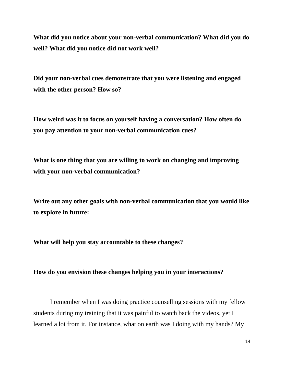**What did you notice about your non-verbal communication? What did you do well? What did you notice did not work well?**

**Did your non-verbal cues demonstrate that you were listening and engaged with the other person? How so?**

**How weird was it to focus on yourself having a conversation? How often do you pay attention to your non-verbal communication cues?**

**What is one thing that you are willing to work on changing and improving with your non-verbal communication?**

**Write out any other goals with non-verbal communication that you would like to explore in future:**

**What will help you stay accountable to these changes?**

#### **How do you envision these changes helping you in your interactions?**

I remember when I was doing practice counselling sessions with my fellow students during my training that it was painful to watch back the videos, yet I learned a lot from it. For instance, what on earth was I doing with my hands? My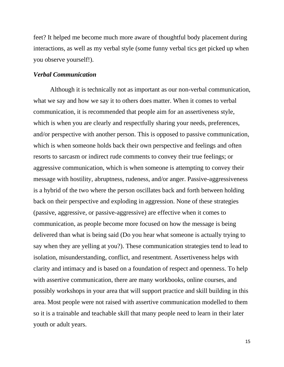feet? It helped me become much more aware of thoughtful body placement during interactions, as well as my verbal style (some funny verbal tics get picked up when you observe yourself!).

#### *Verbal Communication*

Although it is technically not as important as our non-verbal communication, what we say and how we say it to others does matter. When it comes to verbal communication, it is recommended that people aim for an assertiveness style, which is when you are clearly and respectfully sharing your needs, preferences, and/or perspective with another person. This is opposed to passive communication, which is when someone holds back their own perspective and feelings and often resorts to sarcasm or indirect rude comments to convey their true feelings; or aggressive communication, which is when someone is attempting to convey their message with hostility, abruptness, rudeness, and/or anger. Passive-aggressiveness is a hybrid of the two where the person oscillates back and forth between holding back on their perspective and exploding in aggression. None of these strategies (passive, aggressive, or passive-aggressive) are effective when it comes to communication, as people become more focused on how the message is being delivered than what is being said (Do you hear what someone is actually trying to say when they are yelling at you?). These communication strategies tend to lead to isolation, misunderstanding, conflict, and resentment. Assertiveness helps with clarity and intimacy and is based on a foundation of respect and openness. To help with assertive communication, there are many workbooks, online courses, and possibly workshops in your area that will support practice and skill building in this area. Most people were not raised with assertive communication modelled to them so it is a trainable and teachable skill that many people need to learn in their later youth or adult years.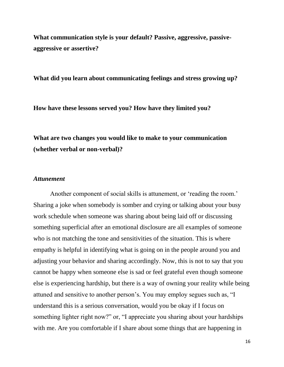**What communication style is your default? Passive, aggressive, passiveaggressive or assertive?**

**What did you learn about communicating feelings and stress growing up?**

**How have these lessons served you? How have they limited you?**

**What are two changes you would like to make to your communication (whether verbal or non-verbal)?**

#### *Attunement*

Another component of social skills is attunement, or 'reading the room.' Sharing a joke when somebody is somber and crying or talking about your busy work schedule when someone was sharing about being laid off or discussing something superficial after an emotional disclosure are all examples of someone who is not matching the tone and sensitivities of the situation. This is where empathy is helpful in identifying what is going on in the people around you and adjusting your behavior and sharing accordingly. Now, this is not to say that you cannot be happy when someone else is sad or feel grateful even though someone else is experiencing hardship, but there is a way of owning your reality while being attuned and sensitive to another person's. You may employ segues such as, "I understand this is a serious conversation, would you be okay if I focus on something lighter right now?" or, "I appreciate you sharing about your hardships with me. Are you comfortable if I share about some things that are happening in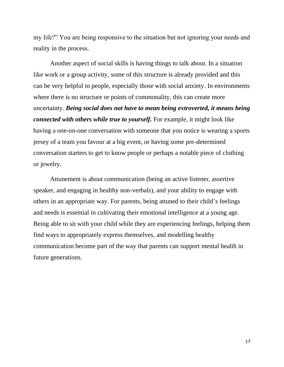my life?" You are being responsive to the situation but not ignoring your needs and reality in the process.

Another aspect of social skills is having things to talk about. In a situation like work or a group activity, some of this structure is already provided and this can be very helpful to people, especially those with social anxiety. In environments where there is no structure or points of commonality, this can create more uncertainty. *Being social does not have to mean being extroverted, it means being connected with others while true to yourself.* For example, it might look like having a one-on-one conversation with someone that you notice is wearing a sports jersey of a team you favour at a big event, or having some pre-determined conversation starters to get to know people or perhaps a notable piece of clothing or jewelry.

Attunement is about communication (being an active listener, assertive speaker, and engaging in healthy non-verbals), and your ability to engage with others in an appropriate way. For parents, being attuned to their child's feelings and needs is essential in cultivating their emotional intelligence at a young age. Being able to sit with your child while they are experiencing feelings, helping them find ways to appropriately express themselves, and modelling healthy communication become part of the way that parents can support mental health in future generations.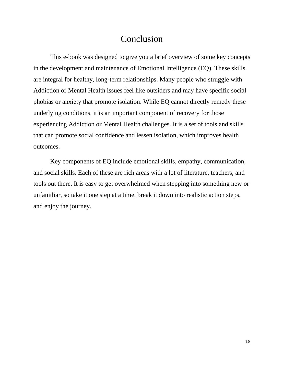## Conclusion

This e-book was designed to give you a brief overview of some key concepts in the development and maintenance of Emotional Intelligence (EQ). These skills are integral for healthy, long-term relationships. Many people who struggle with Addiction or Mental Health issues feel like outsiders and may have specific social phobias or anxiety that promote isolation. While EQ cannot directly remedy these underlying conditions, it is an important component of recovery for those experiencing Addiction or Mental Health challenges. It is a set of tools and skills that can promote social confidence and lessen isolation, which improves health outcomes.

Key components of EQ include emotional skills, empathy, communication, and social skills. Each of these are rich areas with a lot of literature, teachers, and tools out there. It is easy to get overwhelmed when stepping into something new or unfamiliar, so take it one step at a time, break it down into realistic action steps, and enjoy the journey.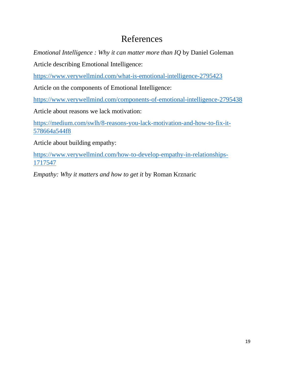# References

*Emotional Intelligence : Why it can matter more than IQ* by Daniel Goleman

Article describing Emotional Intelligence:

<https://www.verywellmind.com/what-is-emotional-intelligence-2795423>

Article on the components of Emotional Intelligence:

<https://www.verywellmind.com/components-of-emotional-intelligence-2795438>

Article about reasons we lack motivation:

[https://medium.com/swlh/8-reasons-you-lack-motivation-and-how-to-fix-it-](https://medium.com/swlh/8-reasons-you-lack-motivation-and-how-to-fix-it-578664a544f8)[578664a544f8](https://medium.com/swlh/8-reasons-you-lack-motivation-and-how-to-fix-it-578664a544f8)

Article about building empathy:

[https://www.verywellmind.com/how-to-develop-empathy-in-relationships-](https://www.verywellmind.com/how-to-develop-empathy-in-relationships-1717547)[1717547](https://www.verywellmind.com/how-to-develop-empathy-in-relationships-1717547)

*Empathy: Why it matters and how to get it* by Roman Krznaric